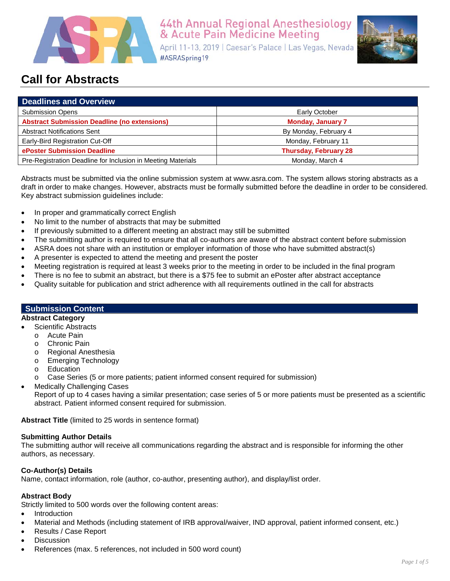

# 44th Annual Regional Anesthesiology<br>& Acute Pain Medicine Meeting

April 11-13, 2019 | Caesar's Palace | Las Vegas, Nevada #ASRASpring19



# **Call for Abstracts**

| <b>Deadlines and Overview</b>                                |                              |
|--------------------------------------------------------------|------------------------------|
| <b>Submission Opens</b>                                      | Early October                |
| <b>Abstract Submission Deadline (no extensions)</b>          | <b>Monday, January 7</b>     |
| <b>Abstract Notifications Sent</b>                           | By Monday, February 4        |
| Early-Bird Registration Cut-Off                              | Monday, February 11          |
| ePoster Submission Deadline                                  | <b>Thursday, February 28</b> |
| Pre-Registration Deadline for Inclusion in Meeting Materials | Monday, March 4              |

Abstracts must be submitted via the online submission system at www.asra.com. The system allows storing abstracts as a draft in order to make changes. However, abstracts must be formally submitted before the deadline in order to be considered. Key abstract submission guidelines include:

- In proper and grammatically correct English
- No limit to the number of abstracts that may be submitted
- If previously submitted to a different meeting an abstract may still be submitted
- The submitting author is required to ensure that all co-authors are aware of the abstract content before submission
- ASRA does not share with an institution or employer information of those who have submitted abstract(s)
- A presenter is expected to attend the meeting and present the poster
- Meeting registration is required at least 3 weeks prior to the meeting in order to be included in the final program
- There is no fee to submit an abstract, but there is a \$75 fee to submit an ePoster after abstract acceptance
- Quality suitable for publication and strict adherence with all requirements outlined in the call for abstracts

## **Submission Content**

#### **Abstract Category**

- Scientific Abstracts
	- o Acute Pain<br>o Chronic Pai
	- Chronic Pain
	- o Regional Anesthesia
	- o Emerging Technology
	- o Education
	- o Case Series (5 or more patients; patient informed consent required for submission)
- **Medically Challenging Cases**

Report of up to 4 cases having a similar presentation; case series of 5 or more patients must be presented as a scientific abstract. Patient informed consent required for submission.

**Abstract Title** (limited to 25 words in sentence format)

# **Submitting Author Details**

The submitting author will receive all communications regarding the abstract and is responsible for informing the other authors, as necessary.

# **Co-Author(s) Details**

Name, contact information, role (author, co-author, presenting author), and display/list order.

# **Abstract Body**

Strictly limited to 500 words over the following content areas:

- Introduction
- Material and Methods (including statement of IRB approval/waiver, IND approval, patient informed consent, etc.)
- Results / Case Report
- **Discussion**
- References (max. 5 references, not included in 500 word count)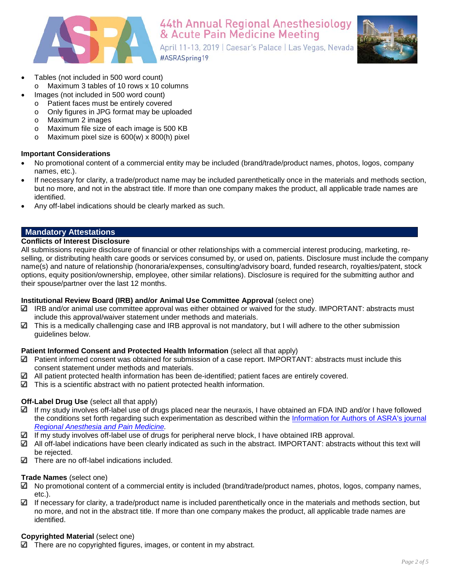

44th Annual Regional Anesthesiology & Acute Pain Medicine Meeting

April 11-13, 2019 | Caesar's Palace | Las Vegas, Nevada #ASRASpring19



- Tables (not included in 500 word count)
	- o Maximum 3 tables of 10 rows x 10 columns
	- Images (not included in 500 word count)
		- o Patient faces must be entirely covered
		- o Only figures in JPG format may be uploaded<br>o Maximum 2 images
		- Maximum 2 images
		- o Maximum file size of each image is 500 KB
		- o Maximum pixel size is 600(w) x 800(h) pixel

# **Important Considerations**

- No promotional content of a commercial entity may be included (brand/trade/product names, photos, logos, company names, etc.).
- If necessary for clarity, a trade/product name may be included parenthetically once in the materials and methods section, but no more, and not in the abstract title. If more than one company makes the product, all applicable trade names are identified.
- Any off-label indications should be clearly marked as such.

# **Mandatory Attestations**

### **Conflicts of Interest Disclosure**

All submissions require disclosure of financial or other relationships with a commercial interest producing, marketing, reselling, or distributing health care goods or services consumed by, or used on, patients. Disclosure must include the company name(s) and nature of relationship (honoraria/expenses, consulting/advisory board, funded research, royalties/patent, stock options, equity position/ownership, employee, other similar relations). Disclosure is required for the submitting author and their spouse/partner over the last 12 months.

# **Institutional Review Board (IRB) and/or Animal Use Committee Approval** (select one)

- $\Box$  IRB and/or animal use committee approval was either obtained or waived for the study. IMPORTANT: abstracts must include this approval/waiver statement under methods and materials.
- $\checkmark$ This is a medically challenging case and IRB approval is not mandatory, but I will adhere to the other submission guidelines below.

# **Patient Informed Consent and Protected Health Information** (select all that apply)

- Patient informed consent was obtained for submission of a case report. IMPORTANT: abstracts must include this consent statement under methods and materials.
- $\Box$  All patient protected health information has been de-identified; patient faces are entirely covered.
- $\Box$  This is a scientific abstract with no patient protected health information.

# **Off-Label Drug Use** (select all that apply)

- $\Box$  If my study involves off-label use of drugs placed near the neuraxis, I have obtained an FDA IND and/or I have followed the conditions set forth regarding such experimentation as described within the [Information for Authors of ASRA's](http://edmgr.ovid.com/rapm/accounts/ifauth.htm#drugs) journal *Regional [Anesthesia and Pain Medicine.](http://edmgr.ovid.com/rapm/accounts/ifauth.htm#drugs)*
- $\Box$  If my study involves off-label use of drugs for peripheral nerve block, I have obtained IRB approval.
- $\Box$  All off-label indications have been clearly indicated as such in the abstract. IMPORTANT: abstracts without this text will be rejected.
- $\Box$  There are no off-label indications included.

# **Trade Names** (select one)

- $\boxtimes$  No promotional content of a commercial entity is included (brand/trade/product names, photos, logos, company names, etc.).
- $\Box$  If necessary for clarity, a trade/product name is included parenthetically once in the materials and methods section, but no more, and not in the abstract title. If more than one company makes the product, all applicable trade names are identified.

# **Copyrighted Material** (select one)

There are no copyrighted figures, images, or content in my abstract.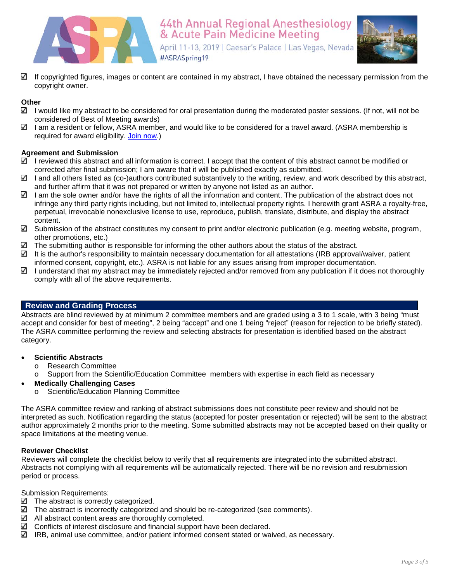



 $\Box$  If copyrighted figures, images or content are contained in my abstract, I have obtained the necessary permission from the copyright owner.

# **Other**

- $\Box$  I would like my abstract to be considered for oral presentation during the moderated poster sessions. (If not, will not be considered of Best of Meeting awards)
- $\Box$  I am a resident or fellow, ASRA member, and would like to be considered for a travel award. (ASRA membership is required for award eligibility. [Join now.](https://www.asra.com/join-us))

#### **Agreement and Submission**

- $\Box$  I reviewed this abstract and all information is correct. I accept that the content of this abstract cannot be modified or corrected after final submission; I am aware that it will be published exactly as submitted.
- $\Box$  I and all others listed as (co-)authors contributed substantively to the writing, review, and work described by this abstract, and further affirm that it was not prepared or written by anyone not listed as an author.
- $\Box$  I am the sole owner and/or have the rights of all the information and content. The publication of the abstract does not infringe any third party rights including, but not limited to, intellectual property rights. I herewith grant ASRA a royalty-free, perpetual, irrevocable nonexclusive license to use, reproduce, publish, translate, distribute, and display the abstract content.
- $\Box$  Submission of the abstract constitutes my consent to print and/or electronic publication (e.g. meeting website, program, other promotions, etc.)
- $\Box$  The submitting author is responsible for informing the other authors about the status of the abstract.
- It is the author's responsibility to maintain necessary documentation for all attestations (IRB approval/waiver, patient informed consent, copyright, etc.). ASRA is not liable for any issues arising from improper documentation.
- I understand that my abstract may be immediately rejected and/or removed from any publication if it does not thoroughly comply with all of the above requirements.

#### **Review and Grading Process**

Abstracts are blind reviewed by at minimum 2 committee members and are graded using a 3 to 1 scale, with 3 being "must accept and consider for best of meeting", 2 being "accept" and one 1 being "reject" (reason for rejection to be briefly stated). The ASRA committee performing the review and selecting abstracts for presentation is identified based on the abstract category.

#### • **Scientific Abstracts**

- o Research Committee
- o Support from the Scientific/Education Committee members with expertise in each field as necessary

# • **Medically Challenging Cases**

o Scientific/Education Planning Committee

The ASRA committee review and ranking of abstract submissions does not constitute peer review and should not be interpreted as such. Notification regarding the status (accepted for poster presentation or rejected) will be sent to the abstract author approximately 2 months prior to the meeting. Some submitted abstracts may not be accepted based on their quality or space limitations at the meeting venue.

#### **Reviewer Checklist**

Reviewers will complete the checklist below to verify that all requirements are integrated into the submitted abstract. Abstracts not complying with all requirements will be automatically rejected. There will be no revision and resubmission period or process.

Submission Requirements:

- $\Box$  The abstract is correctly categorized.
- $\Box$  The abstract is incorrectly categorized and should be re-categorized (see comments).
- $\Box$  All abstract content areas are thoroughly completed.
- $□$  Conflicts of interest disclosure and financial support have been declared.
- $\boxtimes$  IRB, animal use committee, and/or patient informed consent stated or waived, as necessary.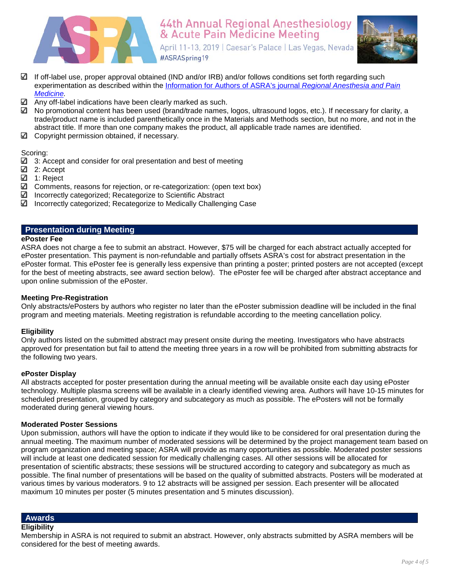



- If off-label use, proper approval obtained (IND and/or IRB) and/or follows conditions set forth regarding such experimentation as described within the [Information for Authors of ASRA's journal](http://edmgr.ovid.com/rapm/accounts/ifauth.htm#drugs) *Regional Anesthesia and Pain [Medicine.](http://edmgr.ovid.com/rapm/accounts/ifauth.htm#drugs)*
- Any off-label indications have been clearly marked as such.
- $\boxtimes$  No promotional content has been used (brand/trade names, logos, ultrasound logos, etc.). If necessary for clarity, a trade/product name is included parenthetically once in the Materials and Methods section, but no more, and not in the abstract title. If more than one company makes the product, all applicable trade names are identified.
- $\boxtimes$  Copyright permission obtained, if necessary.

Scoring:

- $\boxtimes$  3: Accept and consider for oral presentation and best of meeting
- 2: Accept
- 1: Reject
- $\Box$  Comments, reasons for rejection, or re-categorization: (open text box)
- Incorrectly categorized; Recategorize to Scientific Abstract
- Incorrectly categorized; Recategorize to Medically Challenging Case

# **Presentation during Meeting**

#### **ePoster Fee**

ASRA does not charge a fee to submit an abstract. However, \$75 will be charged for each abstract actually accepted for ePoster presentation. This payment is non-refundable and partially offsets ASRA's cost for abstract presentation in the ePoster format. This ePoster fee is generally less expensive than printing a poster; printed posters are not accepted (except for the best of meeting abstracts, see award section below). The ePoster fee will be charged after abstract acceptance and upon online submission of the ePoster.

#### **Meeting Pre-Registration**

Only abstracts/ePosters by authors who register no later than the ePoster submission deadline will be included in the final program and meeting materials. Meeting registration is refundable according to the meeting cancellation policy.

#### **Eligibility**

Only authors listed on the submitted abstract may present onsite during the meeting. Investigators who have abstracts approved for presentation but fail to attend the meeting three years in a row will be prohibited from submitting abstracts for the following two years.

#### **ePoster Display**

All abstracts accepted for poster presentation during the annual meeting will be available onsite each day using ePoster technology. Multiple plasma screens will be available in a clearly identified viewing area. Authors will have 10-15 minutes for scheduled presentation, grouped by category and subcategory as much as possible. The ePosters will not be formally moderated during general viewing hours.

#### **Moderated Poster Sessions**

Upon submission, authors will have the option to indicate if they would like to be considered for oral presentation during the annual meeting. The maximum number of moderated sessions will be determined by the project management team based on program organization and meeting space; ASRA will provide as many opportunities as possible. Moderated poster sessions will include at least one dedicated session for medically challenging cases. All other sessions will be allocated for presentation of scientific abstracts; these sessions will be structured according to category and subcategory as much as possible. The final number of presentations will be based on the quality of submitted abstracts. Posters will be moderated at various times by various moderators. 9 to 12 abstracts will be assigned per session. Each presenter will be allocated maximum 10 minutes per poster (5 minutes presentation and 5 minutes discussion).

# **Awards**

#### **Eligibility**

Membership in ASRA is not required to submit an abstract. However, only abstracts submitted by ASRA members will be considered for the best of meeting awards.